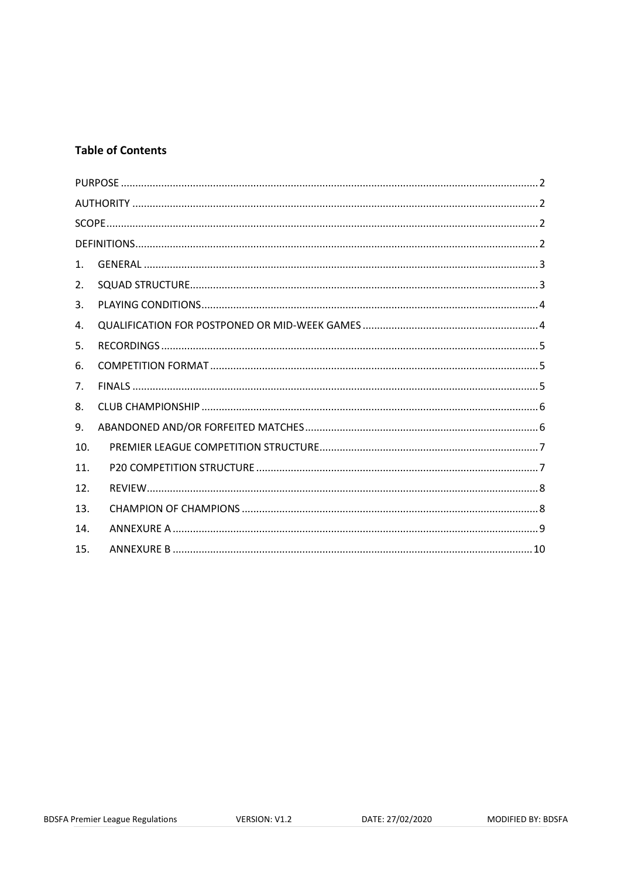## **Table of Contents**

| 1.  |  |
|-----|--|
| 2.  |  |
| 3.  |  |
| 4.  |  |
| 5.  |  |
| 6.  |  |
| 7.  |  |
| 8.  |  |
| 9.  |  |
| 10. |  |
| 11. |  |
| 12. |  |
| 13. |  |
| 14. |  |
| 15. |  |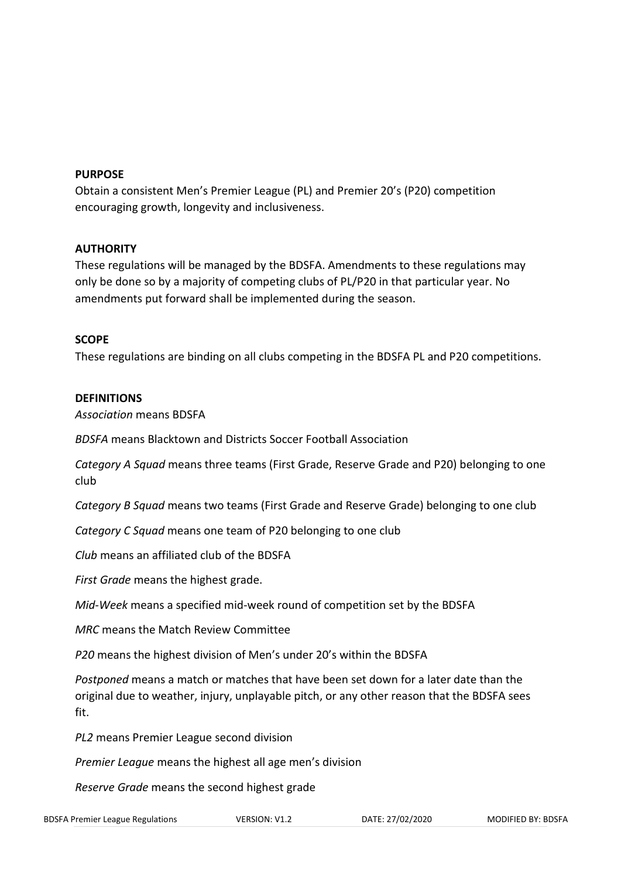### <span id="page-1-0"></span>**PURPOSE**

Obtain a consistent Men's Premier League (PL) and Premier 20's (P20) competition encouraging growth, longevity and inclusiveness.

### <span id="page-1-1"></span>**AUTHORITY**

These regulations will be managed by the BDSFA. Amendments to these regulations may only be done so by a majority of competing clubs of PL/P20 in that particular year. No amendments put forward shall be implemented during the season.

### <span id="page-1-2"></span>**SCOPE**

These regulations are binding on all clubs competing in the BDSFA PL and P20 competitions.

### <span id="page-1-3"></span>**DEFINITIONS**

*Association* means BDSFA

*BDSFA* means Blacktown and Districts Soccer Football Association

*Category A Squad* means three teams (First Grade, Reserve Grade and P20) belonging to one club

*Category B Squad* means two teams (First Grade and Reserve Grade) belonging to one club

*Category C Squad* means one team of P20 belonging to one club

*Club* means an affiliated club of the BDSFA

*First Grade* means the highest grade.

*Mid-Week* means a specified mid-week round of competition set by the BDSFA

*MRC* means the Match Review Committee

*P20* means the highest division of Men's under 20's within the BDSFA

*Postponed* means a match or matches that have been set down for a later date than the original due to weather, injury, unplayable pitch, or any other reason that the BDSFA sees fit.

*PL2* means Premier League second division

*Premier League* means the highest all age men's division

*Reserve Grade* means the second highest grade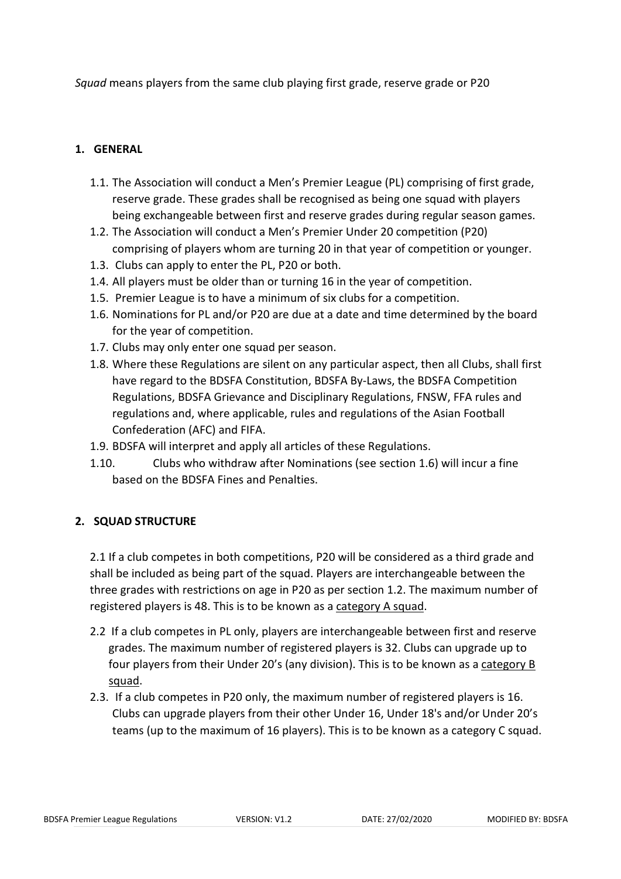*Squad* means players from the same club playing first grade, reserve grade or P20

# <span id="page-2-0"></span>**1. GENERAL**

- 1.1. The Association will conduct a Men's Premier League (PL) comprising of first grade, reserve grade. These grades shall be recognised as being one squad with players being exchangeable between first and reserve grades during regular season games.
- 1.2. The Association will conduct a Men's Premier Under 20 competition (P20) comprising of players whom are turning 20 in that year of competition or younger.
- 1.3. Clubs can apply to enter the PL, P20 or both.
- 1.4. All players must be older than or turning 16 in the year of competition.
- 1.5. Premier League is to have a minimum of six clubs for a competition.
- 1.6. Nominations for PL and/or P20 are due at a date and time determined by the board for the year of competition.
- 1.7. Clubs may only enter one squad per season.
- 1.8. Where these Regulations are silent on any particular aspect, then all Clubs, shall first have regard to the BDSFA Constitution, BDSFA By-Laws, the BDSFA Competition Regulations, BDSFA Grievance and Disciplinary Regulations, FNSW, FFA rules and regulations and, where applicable, rules and regulations of the Asian Football Confederation (AFC) and FIFA.
- 1.9. BDSFA will interpret and apply all articles of these Regulations.
- 1.10. Clubs who withdraw after Nominations (see section 1.6) will incur a fine based on the BDSFA Fines and Penalties.

## <span id="page-2-1"></span>**2. SQUAD STRUCTURE**

2.1 If a club competes in both competitions, P20 will be considered as a third grade and shall be included as being part of the squad. Players are interchangeable between the three grades with restrictions on age in P20 as per section 1.2. The maximum number of registered players is 48. This is to be known as a category A squad.

- 2.2 If a club competes in PL only, players are interchangeable between first and reserve grades. The maximum number of registered players is 32. Clubs can upgrade up to four players from their Under 20's (any division). This is to be known as a category B squad.
- 2.3. If a club competes in P20 only, the maximum number of registered players is 16. Clubs can upgrade players from their other Under 16, Under 18's and/or Under 20's teams (up to the maximum of 16 players). This is to be known as a category C squad.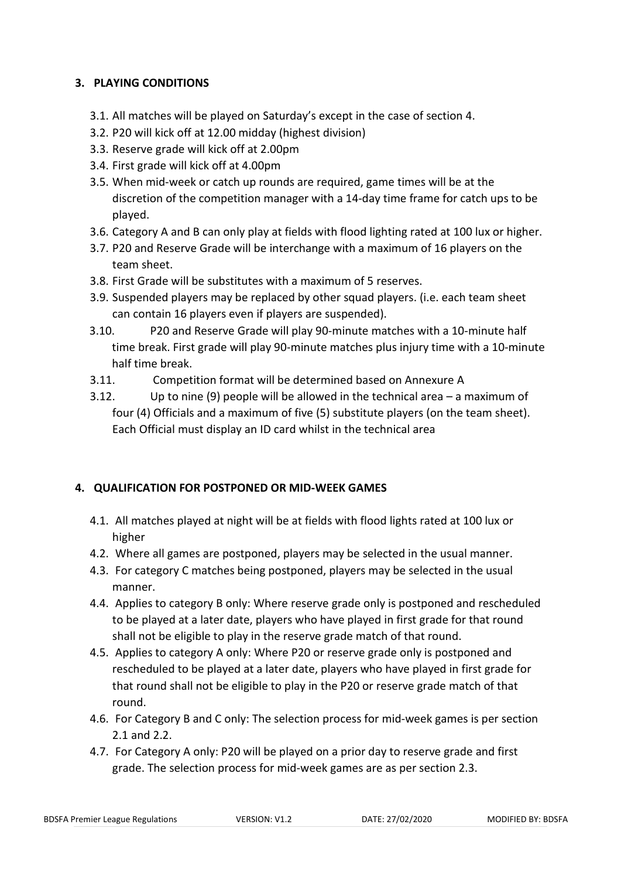# <span id="page-3-0"></span>**3. PLAYING CONDITIONS**

- 3.1. All matches will be played on Saturday's except in the case of section 4.
- 3.2. P20 will kick off at 12.00 midday (highest division)
- 3.3. Reserve grade will kick off at 2.00pm
- 3.4. First grade will kick off at 4.00pm
- 3.5. When mid-week or catch up rounds are required, game times will be at the discretion of the competition manager with a 14-day time frame for catch ups to be played.
- 3.6. Category A and B can only play at fields with flood lighting rated at 100 lux or higher.
- 3.7. P20 and Reserve Grade will be interchange with a maximum of 16 players on the team sheet.
- 3.8. First Grade will be substitutes with a maximum of 5 reserves.
- 3.9. Suspended players may be replaced by other squad players. (i.e. each team sheet can contain 16 players even if players are suspended).
- 3.10. P20 and Reserve Grade will play 90-minute matches with a 10-minute half time break. First grade will play 90-minute matches plus injury time with a 10-minute half time break.
- 3.11. Competition format will be determined based on Annexure A
- 3.12. Up to nine (9) people will be allowed in the technical area a maximum of four (4) Officials and a maximum of five (5) substitute players (on the team sheet). Each Official must display an ID card whilst in the technical area

## <span id="page-3-1"></span>**4. QUALIFICATION FOR POSTPONED OR MID-WEEK GAMES**

- 4.1. All matches played at night will be at fields with flood lights rated at 100 lux or higher
- 4.2. Where all games are postponed, players may be selected in the usual manner.
- 4.3. For category C matches being postponed, players may be selected in the usual manner.
- 4.4. Applies to category B only: Where reserve grade only is postponed and rescheduled to be played at a later date, players who have played in first grade for that round shall not be eligible to play in the reserve grade match of that round.
- 4.5. Applies to category A only: Where P20 or reserve grade only is postponed and rescheduled to be played at a later date, players who have played in first grade for that round shall not be eligible to play in the P20 or reserve grade match of that round.
- 4.6. For Category B and C only: The selection process for mid-week games is per section 2.1 and 2.2.
- 4.7. For Category A only: P20 will be played on a prior day to reserve grade and first grade. The selection process for mid-week games are as per section 2.3.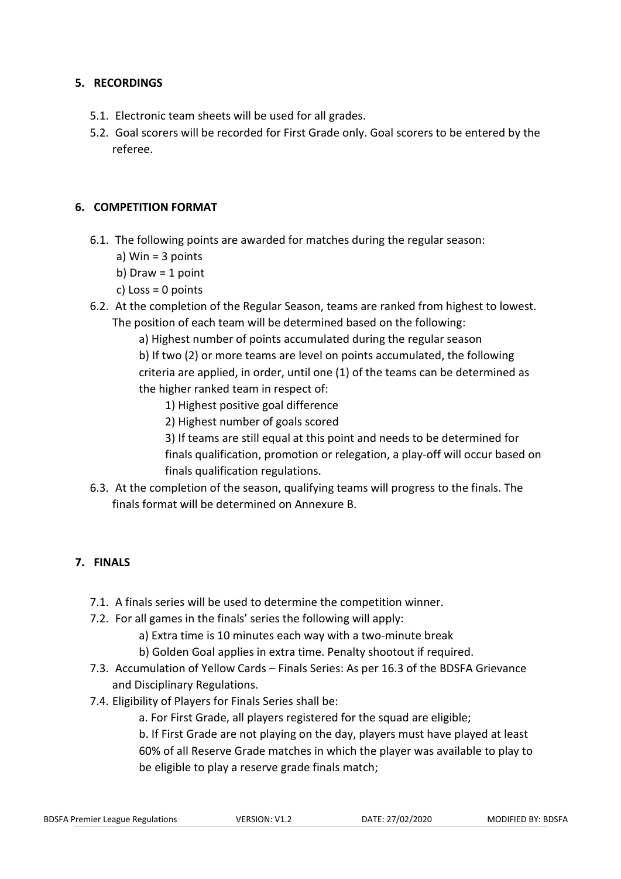## <span id="page-4-0"></span>**5. RECORDINGS**

- 5.1. Electronic team sheets will be used for all grades.
- 5.2. Goal scorers will be recorded for First Grade only. Goal scorers to be entered by the referee.

### <span id="page-4-1"></span>**6. COMPETITION FORMAT**

- 6.1. The following points are awarded for matches during the regular season:
	- a) Win = 3 points
	- b) Draw  $=$  1 point
	- c) Loss =  $0$  points
- 6.2. At the completion of the Regular Season, teams are ranked from highest to lowest. The position of each team will be determined based on the following:
	- a) Highest number of points accumulated during the regular season

b) If two (2) or more teams are level on points accumulated, the following criteria are applied, in order, until one (1) of the teams can be determined as the higher ranked team in respect of:

- 1) Highest positive goal difference
- 2) Highest number of goals scored
- 3) If teams are still equal at this point and needs to be determined for

finals qualification, promotion or relegation, a play-off will occur based on finals qualification regulations.

6.3. At the completion of the season, qualifying teams will progress to the finals. The finals format will be determined on Annexure B.

# <span id="page-4-2"></span>**7. FINALS**

- 7.1. A finals series will be used to determine the competition winner.
- 7.2. For all games in the finals' series the following will apply:
	- a) Extra time is 10 minutes each way with a two-minute break
	- b) Golden Goal applies in extra time. Penalty shootout if required.
- 7.3. Accumulation of Yellow Cards Finals Series: As per 16.3 of the BDSFA Grievance and Disciplinary Regulations.
- 7.4. Eligibility of Players for Finals Series shall be:
	- a. For First Grade, all players registered for the squad are eligible;

b. If First Grade are not playing on the day, players must have played at least 60% of all Reserve Grade matches in which the player was available to play to be eligible to play a reserve grade finals match;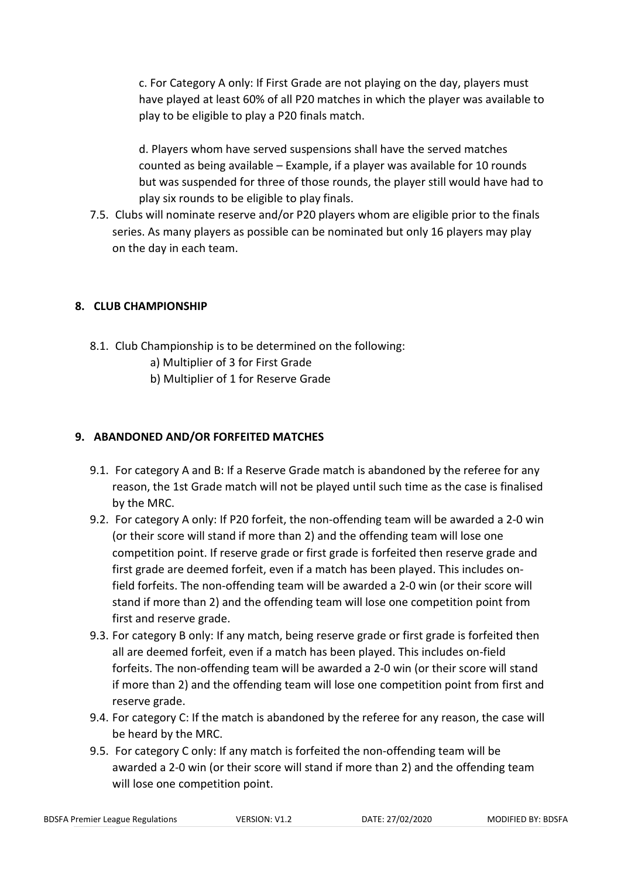c. For Category A only: If First Grade are not playing on the day, players must have played at least 60% of all P20 matches in which the player was available to play to be eligible to play a P20 finals match.

d. Players whom have served suspensions shall have the served matches counted as being available – Example, if a player was available for 10 rounds but was suspended for three of those rounds, the player still would have had to play six rounds to be eligible to play finals.

7.5. Clubs will nominate reserve and/or P20 players whom are eligible prior to the finals series. As many players as possible can be nominated but only 16 players may play on the day in each team.

# <span id="page-5-0"></span>**8. CLUB CHAMPIONSHIP**

- 8.1. Club Championship is to be determined on the following:
	- a) Multiplier of 3 for First Grade
	- b) Multiplier of 1 for Reserve Grade

## <span id="page-5-1"></span>**9. ABANDONED AND/OR FORFEITED MATCHES**

- 9.1. For category A and B: If a Reserve Grade match is abandoned by the referee for any reason, the 1st Grade match will not be played until such time as the case is finalised by the MRC.
- 9.2. For category A only: If P20 forfeit, the non-offending team will be awarded a 2-0 win (or their score will stand if more than 2) and the offending team will lose one competition point. If reserve grade or first grade is forfeited then reserve grade and first grade are deemed forfeit, even if a match has been played. This includes onfield forfeits. The non-offending team will be awarded a 2-0 win (or their score will stand if more than 2) and the offending team will lose one competition point from first and reserve grade.
- 9.3. For category B only: If any match, being reserve grade or first grade is forfeited then all are deemed forfeit, even if a match has been played. This includes on-field forfeits. The non-offending team will be awarded a 2-0 win (or their score will stand if more than 2) and the offending team will lose one competition point from first and reserve grade.
- 9.4. For category C: If the match is abandoned by the referee for any reason, the case will be heard by the MRC.
- 9.5. For category C only: If any match is forfeited the non-offending team will be awarded a 2-0 win (or their score will stand if more than 2) and the offending team will lose one competition point.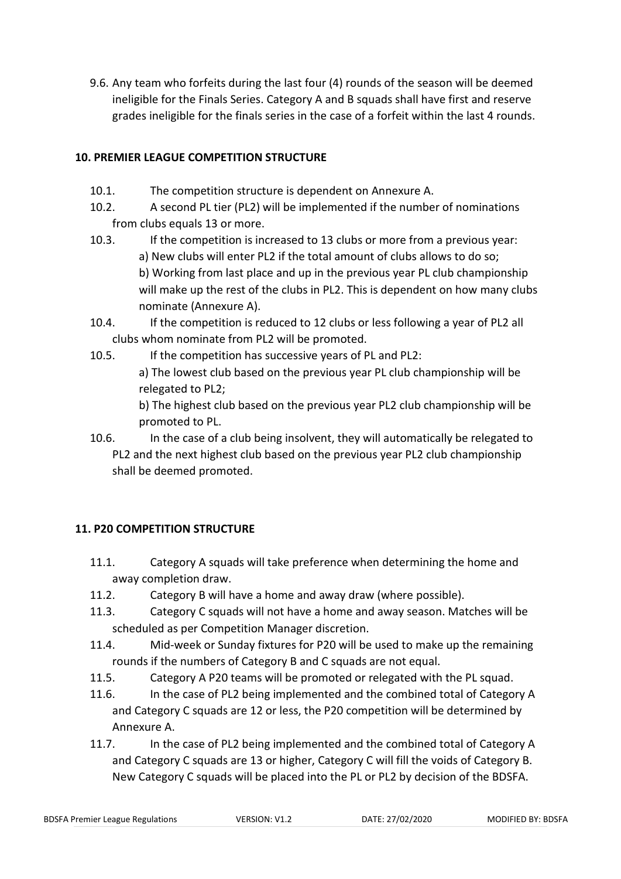9.6. Any team who forfeits during the last four (4) rounds of the season will be deemed ineligible for the Finals Series. Category A and B squads shall have first and reserve grades ineligible for the finals series in the case of a forfeit within the last 4 rounds.

# <span id="page-6-0"></span>**10. PREMIER LEAGUE COMPETITION STRUCTURE**

- 10.1. The competition structure is dependent on Annexure A.
- 10.2. A second PL tier (PL2) will be implemented if the number of nominations from clubs equals 13 or more.
- 10.3. If the competition is increased to 13 clubs or more from a previous year: a) New clubs will enter PL2 if the total amount of clubs allows to do so; b) Working from last place and up in the previous year PL club championship will make up the rest of the clubs in PL2. This is dependent on how many clubs nominate (Annexure A).
- 10.4. If the competition is reduced to 12 clubs or less following a year of PL2 all clubs whom nominate from PL2 will be promoted.
- 10.5. If the competition has successive years of PL and PL2:
	- a) The lowest club based on the previous year PL club championship will be relegated to PL2;

b) The highest club based on the previous year PL2 club championship will be promoted to PL.

10.6. In the case of a club being insolvent, they will automatically be relegated to PL2 and the next highest club based on the previous year PL2 club championship shall be deemed promoted.

# <span id="page-6-1"></span>**11. P20 COMPETITION STRUCTURE**

- 11.1. Category A squads will take preference when determining the home and away completion draw.
- 11.2. Category B will have a home and away draw (where possible).
- 11.3. Category C squads will not have a home and away season. Matches will be scheduled as per Competition Manager discretion.
- 11.4. Mid-week or Sunday fixtures for P20 will be used to make up the remaining rounds if the numbers of Category B and C squads are not equal.
- 11.5. Category A P20 teams will be promoted or relegated with the PL squad.
- 11.6. In the case of PL2 being implemented and the combined total of Category A and Category C squads are 12 or less, the P20 competition will be determined by Annexure A.
- 11.7. In the case of PL2 being implemented and the combined total of Category A and Category C squads are 13 or higher, Category C will fill the voids of Category B. New Category C squads will be placed into the PL or PL2 by decision of the BDSFA.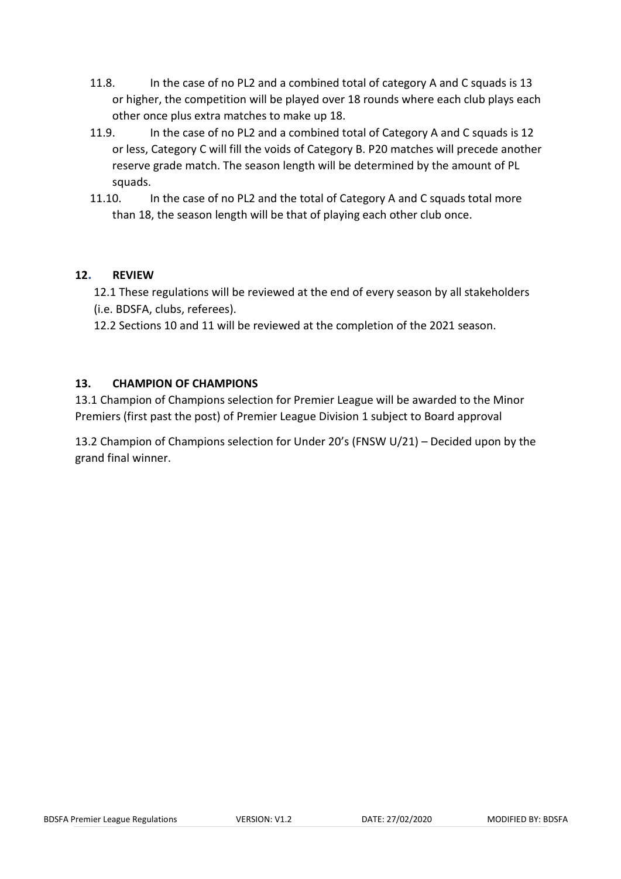- 11.8. In the case of no PL2 and a combined total of category A and C squads is 13 or higher, the competition will be played over 18 rounds where each club plays each other once plus extra matches to make up 18.
- 11.9. In the case of no PL2 and a combined total of Category A and C squads is 12 or less, Category C will fill the voids of Category B. P20 matches will precede another reserve grade match. The season length will be determined by the amount of PL squads.
- 11.10. In the case of no PL2 and the total of Category A and C squads total more than 18, the season length will be that of playing each other club once.

## <span id="page-7-0"></span>**12. REVIEW**

12.1 These regulations will be reviewed at the end of every season by all stakeholders (i.e. BDSFA, clubs, referees).

12.2 Sections 10 and 11 will be reviewed at the completion of the 2021 season.

# <span id="page-7-1"></span>**13. CHAMPION OF CHAMPIONS**

13.1 Champion of Champions selection for Premier League will be awarded to the Minor Premiers (first past the post) of Premier League Division 1 subject to Board approval

13.2 Champion of Champions selection for Under 20's (FNSW U/21) – Decided upon by the grand final winner.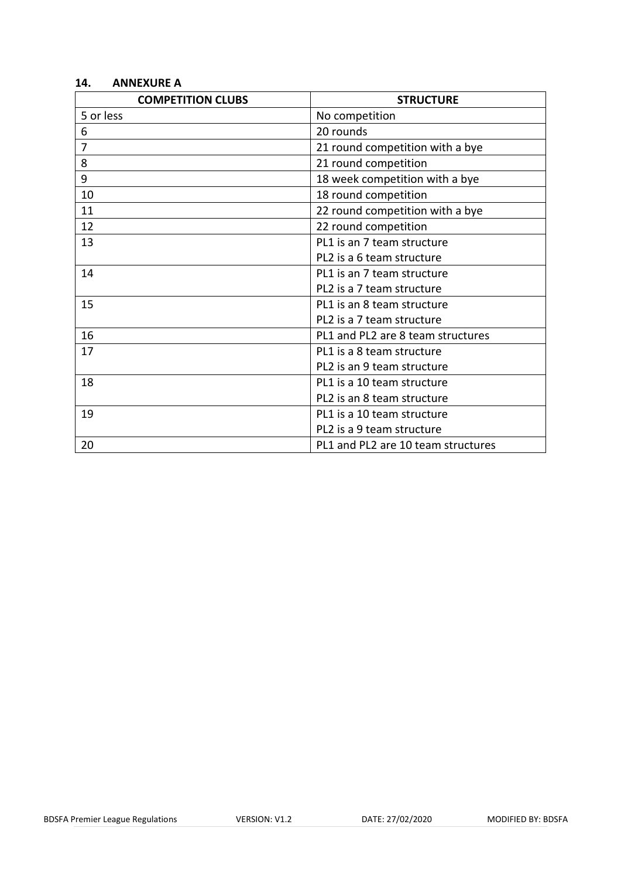### <span id="page-8-0"></span>**14. ANNEXURE A**

| <b>COMPETITION CLUBS</b> | <b>STRUCTURE</b>                   |
|--------------------------|------------------------------------|
| 5 or less                | No competition                     |
| 6                        | 20 rounds                          |
| $\overline{7}$           | 21 round competition with a bye    |
| 8                        | 21 round competition               |
| 9                        | 18 week competition with a bye     |
| 10                       | 18 round competition               |
| 11                       | 22 round competition with a bye    |
| 12                       | 22 round competition               |
| 13                       | PL1 is an 7 team structure         |
|                          | PL2 is a 6 team structure          |
| 14                       | PL1 is an 7 team structure         |
|                          | PL2 is a 7 team structure          |
| 15                       | PL1 is an 8 team structure         |
|                          | PL2 is a 7 team structure          |
| 16                       | PL1 and PL2 are 8 team structures  |
| 17                       | PL1 is a 8 team structure          |
|                          | PL2 is an 9 team structure         |
| 18                       | PL1 is a 10 team structure         |
|                          | PL2 is an 8 team structure         |
| 19                       | PL1 is a 10 team structure         |
|                          | PL2 is a 9 team structure          |
| 20                       | PL1 and PL2 are 10 team structures |